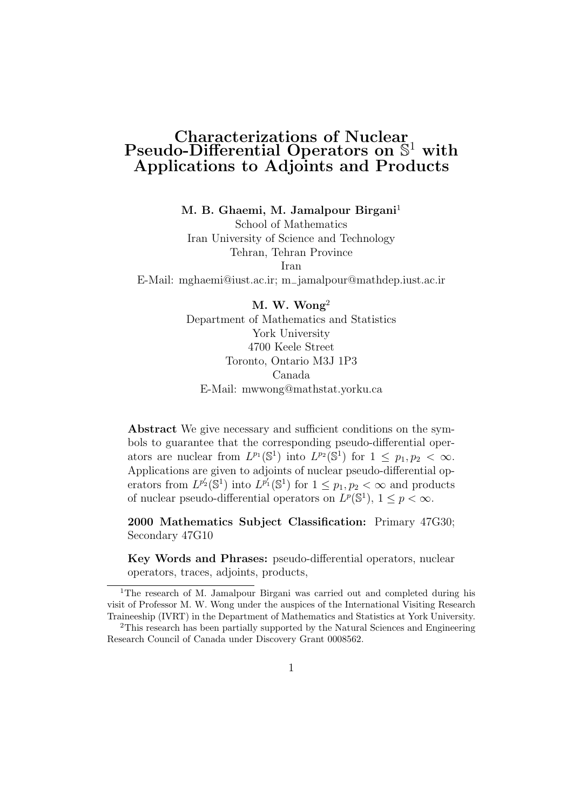#### Characterizations of Nuclear  $Pseudo-Differential \n *Operations on*  $\mathbb{S}^1$  with$ Applications to Adjoints and Products

M. B. Ghaemi, M. Jamalpour Birgani<sup>1</sup>

School of Mathematics Iran University of Science and Technology Tehran, Tehran Province Iran E-Mail: mghaemi@iust.ac.ir; m−jamalpour@mathdep.iust.ac.ir

> M. W. Wong<sup>2</sup> Department of Mathematics and Statistics York University 4700 Keele Street Toronto, Ontario M3J 1P3 Canada E-Mail: mwwong@mathstat.yorku.ca

Abstract We give necessary and sufficient conditions on the symbols to guarantee that the corresponding pseudo-differential operators are nuclear from  $L^{p_1}(\mathbb{S}^1)$  into  $L^{p_2}(\mathbb{S}^1)$  for  $1 \leq p_1, p_2 < \infty$ . Applications are given to adjoints of nuclear pseudo-differential operators from  $L^{p'_2}(\mathbb{S}^1)$  into  $L^{p'_1}(\mathbb{S}^1)$  for  $1 \leq p_1, p_2 < \infty$  and products of nuclear pseudo-differential operators on  $L^p(\mathbb{S}^1)$ ,  $1 \leq p < \infty$ .

2000 Mathematics Subject Classification: Primary 47G30; Secondary 47G10

Key Words and Phrases: pseudo-differential operators, nuclear operators, traces, adjoints, products,

<sup>&</sup>lt;sup>1</sup>The research of M. Jamalpour Birgani was carried out and completed during his visit of Professor M. W. Wong under the auspices of the International Visiting Research Traineeship (IVRT) in the Department of Mathematics and Statistics at York University.

<sup>2</sup>This research has been partially supported by the Natural Sciences and Engineering Research Council of Canada under Discovery Grant 0008562.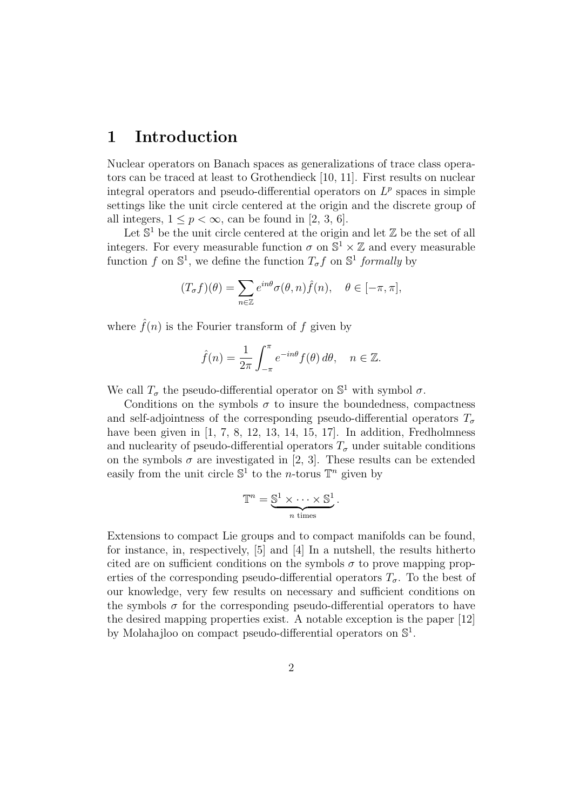#### 1 Introduction

Nuclear operators on Banach spaces as generalizations of trace class operators can be traced at least to Grothendieck [10, 11]. First results on nuclear integral operators and pseudo-differential operators on  $L^p$  spaces in simple settings like the unit circle centered at the origin and the discrete group of all integers,  $1 \leq p < \infty$ , can be found in [2, 3, 6].

Let  $\mathbb{S}^1$  be the unit circle centered at the origin and let  $\mathbb Z$  be the set of all integers. For every measurable function  $\sigma$  on  $\mathbb{S}^1 \times \mathbb{Z}$  and every measurable function f on  $\mathbb{S}^1$ , we define the function  $T_{\sigma}f$  on  $\mathbb{S}^1$  formally by

$$
(T_{\sigma}f)(\theta) = \sum_{n \in \mathbb{Z}} e^{in\theta} \sigma(\theta, n) \hat{f}(n), \quad \theta \in [-\pi, \pi],
$$

where  $\hat{f}(n)$  is the Fourier transform of f given by

$$
\hat{f}(n) = \frac{1}{2\pi} \int_{-\pi}^{\pi} e^{-in\theta} f(\theta) d\theta, \quad n \in \mathbb{Z}.
$$

We call  $T_{\sigma}$  the pseudo-differential operator on  $\mathbb{S}^1$  with symbol  $\sigma$ .

Conditions on the symbols  $\sigma$  to insure the boundedness, compactness and self-adjointness of the corresponding pseudo-differential operators  $T_{\sigma}$ have been given in  $\left[1, 7, 8, 12, 13, 14, 15, 17\right]$ . In addition, Fredholmness and nuclearity of pseudo-differential operators  $T_{\sigma}$  under suitable conditions on the symbols  $\sigma$  are investigated in [2, 3]. These results can be extended easily from the unit circle  $\mathbb{S}^1$  to the *n*-torus  $\mathbb{T}^n$  given by

$$
\mathbb{T}^n = \underbrace{\mathbb{S}^1 \times \cdots \times \mathbb{S}^1}_{n \text{ times}}.
$$

Extensions to compact Lie groups and to compact manifolds can be found, for instance, in, respectively, [5] and [4] In a nutshell, the results hitherto cited are on sufficient conditions on the symbols  $\sigma$  to prove mapping properties of the corresponding pseudo-differential operators  $T_{\sigma}$ . To the best of our knowledge, very few results on necessary and sufficient conditions on the symbols  $\sigma$  for the corresponding pseudo-differential operators to have the desired mapping properties exist. A notable exception is the paper [12] by Molahajloo on compact pseudo-differential operators on  $\mathbb{S}^1$ .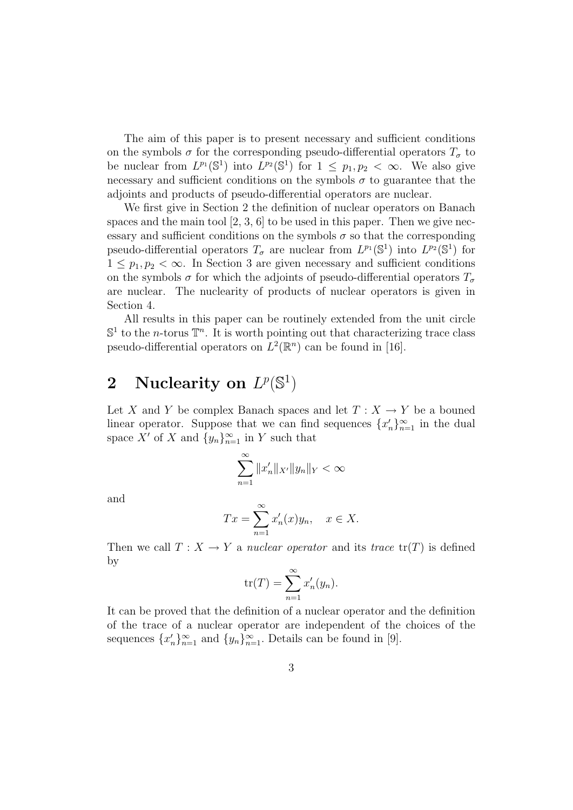The aim of this paper is to present necessary and sufficient conditions on the symbols  $\sigma$  for the corresponding pseudo-differential operators  $T_{\sigma}$  to be nuclear from  $L^{p_1}(\mathbb{S}^1)$  into  $L^{p_2}(\mathbb{S}^1)$  for  $1 \leq p_1, p_2 < \infty$ . We also give necessary and sufficient conditions on the symbols  $\sigma$  to guarantee that the adjoints and products of pseudo-differential operators are nuclear.

We first give in Section 2 the definition of nuclear operators on Banach spaces and the main tool  $[2, 3, 6]$  to be used in this paper. Then we give necessary and sufficient conditions on the symbols  $\sigma$  so that the corresponding pseudo-differential operators  $T_{\sigma}$  are nuclear from  $L^{p_1}(\mathbb{S}^1)$  into  $L^{p_2}(\mathbb{S}^1)$  for  $1 \leq p_1, p_2 < \infty$ . In Section 3 are given necessary and sufficient conditions on the symbols  $\sigma$  for which the adjoints of pseudo-differential operators  $T_{\sigma}$ are nuclear. The nuclearity of products of nuclear operators is given in Section 4.

All results in this paper can be routinely extended from the unit circle  $\mathbb{S}^1$  to the *n*-torus  $\mathbb{T}^n$ . It is worth pointing out that characterizing trace class pseudo-differential operators on  $L^2(\mathbb{R}^n)$  can be found in [16].

# 2 Nuclearity on  $L^p(\mathbb{S}^1)$

Let X and Y be complex Banach spaces and let  $T : X \to Y$  be a bouned linear operator. Suppose that we can find sequences  $\{x'_n\}_{n=1}^{\infty}$  in the dual space X' of X and  $\{y_n\}_{n=1}^{\infty}$  in Y such that

$$
\sum_{n=1}^{\infty} ||x'_n||_{X'} ||y_n||_Y < \infty
$$

and

$$
Tx = \sum_{n=1}^{\infty} x'_n(x)y_n, \quad x \in X.
$$

Then we call  $T : X \to Y$  a nuclear operator and its trace  $tr(T)$  is defined by

$$
tr(T) = \sum_{n=1}^{\infty} x'_n(y_n).
$$

It can be proved that the definition of a nuclear operator and the definition of the trace of a nuclear operator are independent of the choices of the sequences  $\{x'_n\}_{n=1}^{\infty}$  and  $\{y_n\}_{n=1}^{\infty}$ . Details can be found in [9].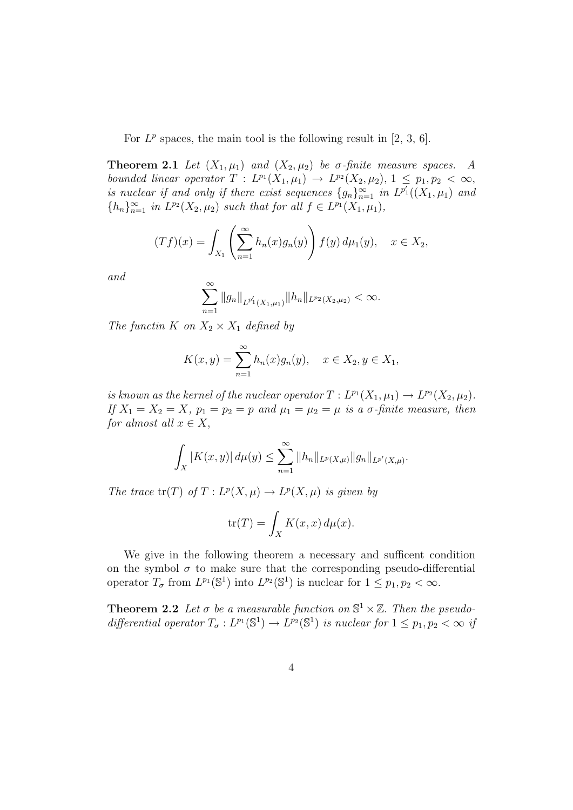For  $L^p$  spaces, the main tool is the following result in [2, 3, 6].

**Theorem 2.1** Let  $(X_1, \mu_1)$  and  $(X_2, \mu_2)$  be  $\sigma$ -finite measure spaces. A bounded linear operator  $T: L^{p_1}(X_1,\mu_1) \to L^{p_2}(X_2,\mu_2), 1 \leq p_1, p_2 < \infty$ , is nuclear if and only if there exist sequences  $\{g_n\}_{n=1}^{\infty}$  in  $L^{p'_1}((X_1,\mu_1))$  and  ${n \choose n}_{n=1}^{\infty}$  in  $L^{p_2}(X_2, \mu_2)$  such that for all  $f \in L^{p_1}(X_1, \mu_1)$ ,

$$
(Tf)(x) = \int_{X_1} \left( \sum_{n=1}^{\infty} h_n(x) g_n(y) \right) f(y) d\mu_1(y), \quad x \in X_2,
$$

and

$$
\sum_{n=1}^{\infty} \|g_n\|_{L^{p_1'}(X_1,\mu_1)} \|h_n\|_{L^{p_2}(X_2,\mu_2)} < \infty.
$$

The functin K on  $X_2 \times X_1$  defined by

$$
K(x, y) = \sum_{n=1}^{\infty} h_n(x) g_n(y), \quad x \in X_2, y \in X_1,
$$

is known as the kernel of the nuclear operator  $T: L^{p_1}(X_1, \mu_1) \to L^{p_2}(X_2, \mu_2)$ . If  $X_1 = X_2 = X$ ,  $p_1 = p_2 = p$  and  $\mu_1 = \mu_2 = \mu$  is a  $\sigma$ -finite measure, then for almost all  $x \in X$ ,

$$
\int_X |K(x,y)| d\mu(y) \leq \sum_{n=1}^{\infty} ||h_n||_{L^p(X,\mu)} ||g_n||_{L^{p'}(X,\mu)}.
$$

The trace  $tr(T)$  of  $T: L^p(X, \mu) \to L^p(X, \mu)$  is given by

$$
\operatorname{tr}(T) = \int_X K(x, x) \, d\mu(x).
$$

We give in the following theorem a necessary and sufficent condition on the symbol  $\sigma$  to make sure that the corresponding pseudo-differential operator  $T_{\sigma}$  from  $L^{p_1}(\mathbb{S}^1)$  into  $L^{p_2}(\mathbb{S}^1)$  is nuclear for  $1 \leq p_1, p_2 < \infty$ .

**Theorem 2.2** Let  $\sigma$  be a measurable function on  $\mathbb{S}^1 \times \mathbb{Z}$ . Then the pseudodifferential operator  $T_{\sigma}: L^{p_1}(\mathbb{S}^1) \to L^{p_2}(\mathbb{S}^1)$  is nuclear for  $1 \leq p_1, p_2 < \infty$  if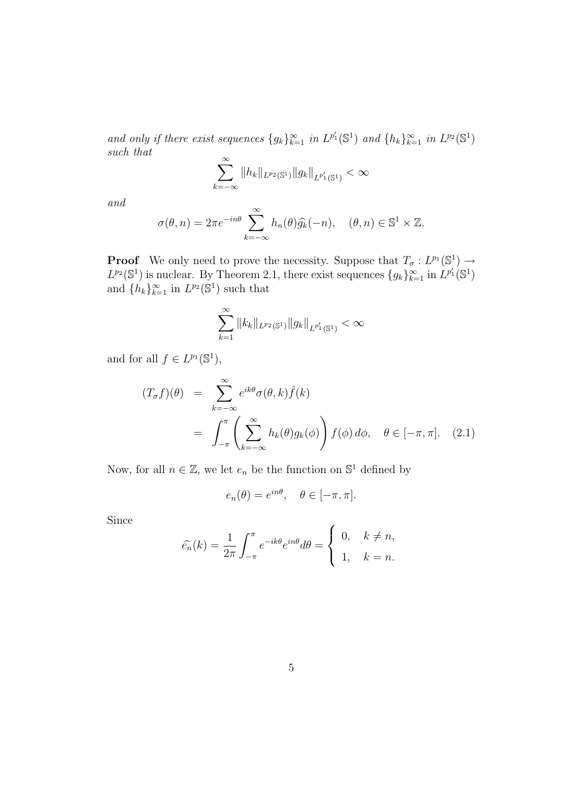and only if there exist sequences  $\{g_k\}_{k=1}^{\infty}$  in  $L^{p'_1}(\mathbb{S}^1)$  and  $\{h_k\}_{k=1}^{\infty}$  in  $L^{p_2}(\mathbb{S}^1)$ such that

$$
\sum_{k=-\infty}^{\infty} \|h_k\|_{L^{p_2}(\mathbb{S}^1)} \|g_k\|_{L^{p_1'}(\mathbb{S}^1)} < \infty
$$

and

$$
\sigma(\theta, n) = 2\pi e^{-in\theta} \sum_{k=-\infty}^{\infty} h_n(\theta) \widehat{g_k}(-n), \quad (\theta, n) \in \mathbb{S}^1 \times \mathbb{Z}.
$$

**Proof** We only need to prove the necessity. Suppose that  $T_{\sigma}: L^{p_1}(\mathbb{S}^1) \to$  $L^{p_2}(\mathbb{S}^1)$  is nuclear. By Theorem 2.1, there exist sequences  $\{g_k\}_{k=1}^{\infty}$  in  $L^{p'_1}(\mathbb{S}^1)$ and  $\{h_k\}_{k=1}^{\infty}$  in  $L^{p_2}(\mathbb{S}^1)$  such that

$$
\sum_{k=1}^{\infty} ||k_k||_{L^{p_2}(\mathbb{S}^1)} ||g_k||_{L^{p'_1}(\mathbb{S}^1)} < \infty
$$

and for all  $f \in L^{p_1}(\mathbb{S}^1)$ ,

$$
(T_{\sigma}f)(\theta) = \sum_{k=-\infty}^{\infty} e^{ik\theta} \sigma(\theta, k) \hat{f}(k)
$$
  
= 
$$
\int_{-\pi}^{\pi} \left( \sum_{k=-\infty}^{\infty} h_k(\theta) g_k(\phi) \right) f(\phi) d\phi, \quad \theta \in [-\pi, \pi]. \quad (2.1)
$$

Now, for all  $n \in \mathbb{Z}$ , we let  $e_n$  be the function on  $\mathbb{S}^1$  defined by

$$
e_n(\theta) = e^{in\theta}, \quad \theta \in [-\pi, \pi].
$$

Since

$$
\widehat{e_n}(k) = \frac{1}{2\pi} \int_{-\pi}^{\pi} e^{-ik\theta} e^{in\theta} d\theta = \begin{cases} 0, & k \neq n, \\ 1, & k = n. \end{cases}
$$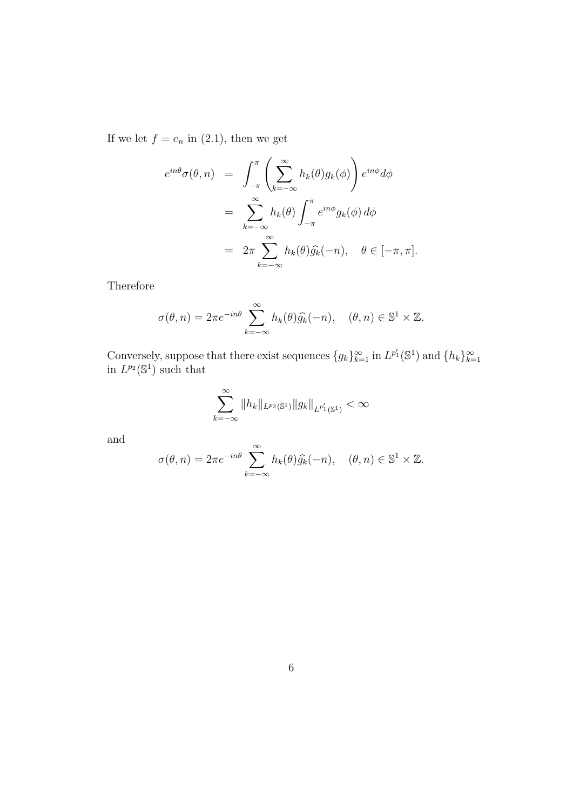If we let  $f = e_n$  in (2.1), then we get

$$
e^{in\theta}\sigma(\theta,n) = \int_{-\pi}^{\pi} \left( \sum_{k=-\infty}^{\infty} h_k(\theta) g_k(\phi) \right) e^{in\phi} d\phi
$$
  

$$
= \sum_{k=-\infty}^{\infty} h_k(\theta) \int_{-\pi}^{\pi} e^{in\phi} g_k(\phi) d\phi
$$
  

$$
= 2\pi \sum_{k=-\infty}^{\infty} h_k(\theta) \widehat{g_k}(-n), \quad \theta \in [-\pi, \pi].
$$

Therefore

$$
\sigma(\theta, n) = 2\pi e^{-in\theta} \sum_{k=-\infty}^{\infty} h_k(\theta) \widehat{g_k}(-n), \quad (\theta, n) \in \mathbb{S}^1 \times \mathbb{Z}.
$$

Conversely, suppose that there exist sequences  $\{g_k\}_{k=1}^{\infty}$  in  $L^{p'_1}(\mathbb{S}^1)$  and  $\{h_k\}_{k=1}^{\infty}$ in  $L^{p_2}(\mathbb{S}^1)$  such that

$$
\sum_{k=-\infty}^{\infty} \|h_k\|_{L^{p_2}(\mathbb{S}^1)} \|g_k\|_{L^{p_1'}(\mathbb{S}^1)} < \infty
$$

and

$$
\sigma(\theta, n) = 2\pi e^{-in\theta} \sum_{k=-\infty}^{\infty} h_k(\theta) \widehat{g_k}(-n), \quad (\theta, n) \in \mathbb{S}^1 \times \mathbb{Z}.
$$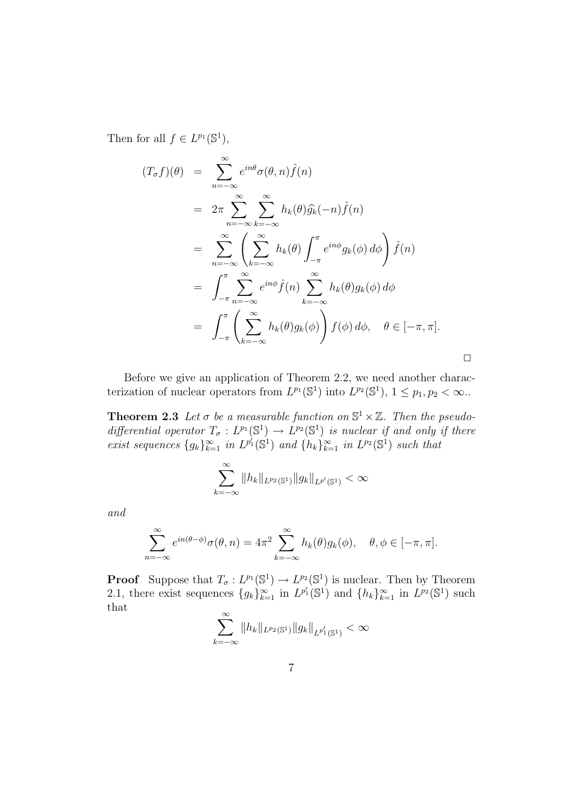Then for all  $f \in L^{p_1}(\mathbb{S}^1)$ ,

$$
(T_{\sigma}f)(\theta) = \sum_{n=-\infty}^{\infty} e^{in\theta} \sigma(\theta, n) \hat{f}(n)
$$
  
\n
$$
= 2\pi \sum_{n=-\infty}^{\infty} \sum_{k=-\infty}^{\infty} h_k(\theta) \hat{g}_k(-n) \hat{f}(n)
$$
  
\n
$$
= \sum_{n=-\infty}^{\infty} \left( \sum_{k=-\infty}^{\infty} h_k(\theta) \int_{-\pi}^{\pi} e^{in\phi} g_k(\phi) d\phi \right) \hat{f}(n)
$$
  
\n
$$
= \int_{-\pi}^{\pi} \sum_{n=-\infty}^{\infty} e^{in\phi} \hat{f}(n) \sum_{k=-\infty}^{\infty} h_k(\theta) g_k(\phi) d\phi
$$
  
\n
$$
= \int_{-\pi}^{\pi} \left( \sum_{k=-\infty}^{\infty} h_k(\theta) g_k(\phi) \right) f(\phi) d\phi, \quad \theta \in [-\pi, \pi].
$$

Before we give an application of Theorem 2.2, we need another characterization of nuclear operators from  $L^{p_1}(\mathbb{S}^1)$  into  $L^{p_2}(\mathbb{S}^1)$ ,  $1 \leq p_1, p_2 < \infty$ .

**Theorem 2.3** Let  $\sigma$  be a measurable function on  $\mathbb{S}^1 \times \mathbb{Z}$ . Then the pseudodifferential operator  $T_{\sigma}: L^{p_1}(\mathbb{S}^1) \to L^{p_2}(\mathbb{S}^1)$  is nuclear if and only if there exist sequences  $\{g_k\}_{k=1}^{\infty}$  in  $L^{p_1'}(\mathbb{S}^1)$  and  $\{h_k\}_{k=1}^{\infty}$  in  $L^{p_2}(\mathbb{S}^1)$  such that

$$
\sum_{k=-\infty}^{\infty} \|h_k\|_{L^{p_2}(\mathbb{S}^1)} \|g_k\|_{L^{p'}(\mathbb{S}^1)} < \infty
$$

and

$$
\sum_{n=-\infty}^{\infty} e^{in(\theta-\phi)}\sigma(\theta,n) = 4\pi^2 \sum_{k=-\infty}^{\infty} h_k(\theta)g_k(\phi), \quad \theta, \phi \in [-\pi, \pi].
$$

**Proof** Suppose that  $T_{\sigma}: L^{p_1}(\mathbb{S}^1) \to L^{p_2}(\mathbb{S}^1)$  is nuclear. Then by Theorem 2.1, there exist sequences  $\{g_k\}_{k=1}^{\infty}$  in  $L^{p'_1}(\mathbb{S}^1)$  and  $\{h_k\}_{k=1}^{\infty}$  in  $L^{p_2}(\mathbb{S}^1)$  such that

$$
\sum_{k=-\infty}^{\infty} \|h_k\|_{L^{p_2}(\mathbb{S}^1)} \|g_k\|_{L^{p_1'}(\mathbb{S}^1)} < \infty
$$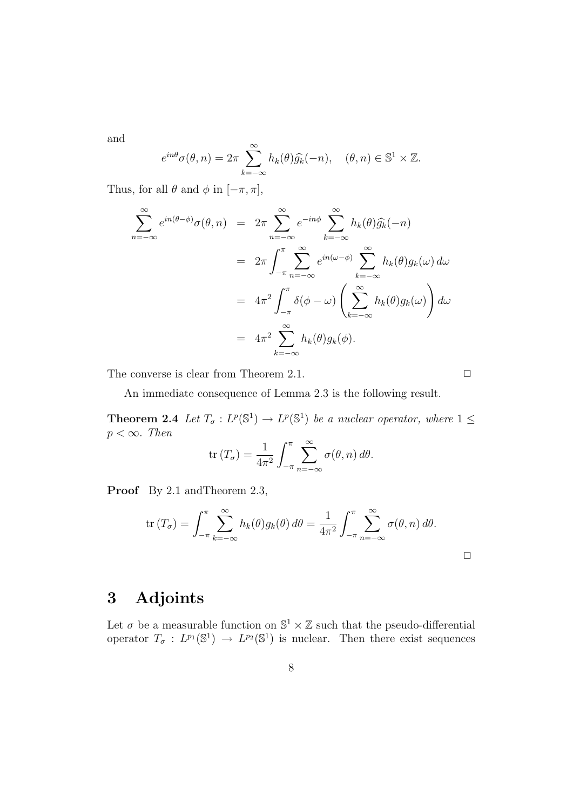and

$$
e^{in\theta}\sigma(\theta,n) = 2\pi \sum_{k=-\infty}^{\infty} h_k(\theta)\widehat{g_k}(-n), \quad (\theta,n) \in \mathbb{S}^1 \times \mathbb{Z}.
$$

Thus, for all  $\theta$  and  $\phi$  in  $[-\pi, \pi]$ ,

$$
\sum_{n=-\infty}^{\infty} e^{in(\theta-\phi)} \sigma(\theta, n) = 2\pi \sum_{n=-\infty}^{\infty} e^{-in\phi} \sum_{k=-\infty}^{\infty} h_k(\theta) \widehat{g_k}(-n)
$$
  

$$
= 2\pi \int_{-\pi}^{\pi} \sum_{n=-\infty}^{\infty} e^{in(\omega-\phi)} \sum_{k=-\infty}^{\infty} h_k(\theta) g_k(\omega) d\omega
$$
  

$$
= 4\pi^2 \int_{-\pi}^{\pi} \delta(\phi-\omega) \left(\sum_{k=-\infty}^{\infty} h_k(\theta) g_k(\omega)\right) d\omega
$$
  

$$
= 4\pi^2 \sum_{k=-\infty}^{\infty} h_k(\theta) g_k(\phi).
$$

The converse is clear from Theorem 2.1.  $\Box$ 

An immediate consequence of Lemma 2.3 is the following result.

**Theorem 2.4** Let  $T_{\sigma}: L^p(\mathbb{S}^1) \to L^p(\mathbb{S}^1)$  be a nuclear operator, where  $1 \leq$  $p < \infty$ . Then

$$
\operatorname{tr}(T_{\sigma}) = \frac{1}{4\pi^2} \int_{-\pi}^{\pi} \sum_{n=-\infty}^{\infty} \sigma(\theta, n) d\theta.
$$

Proof By 2.1 and Theorem 2.3,

$$
\operatorname{tr}(T_{\sigma}) = \int_{-\pi}^{\pi} \sum_{k=-\infty}^{\infty} h_k(\theta) g_k(\theta) d\theta = \frac{1}{4\pi^2} \int_{-\pi}^{\pi} \sum_{n=-\infty}^{\infty} \sigma(\theta, n) d\theta.
$$

 $\Box$ 

## 3 Adjoints

Let  $\sigma$  be a measurable function on  $\mathbb{S}^1 \times \mathbb{Z}$  such that the pseudo-differential operator  $T_{\sigma}: L^{p_1}(\mathbb{S}^1) \to L^{p_2}(\mathbb{S}^1)$  is nuclear. Then there exist sequences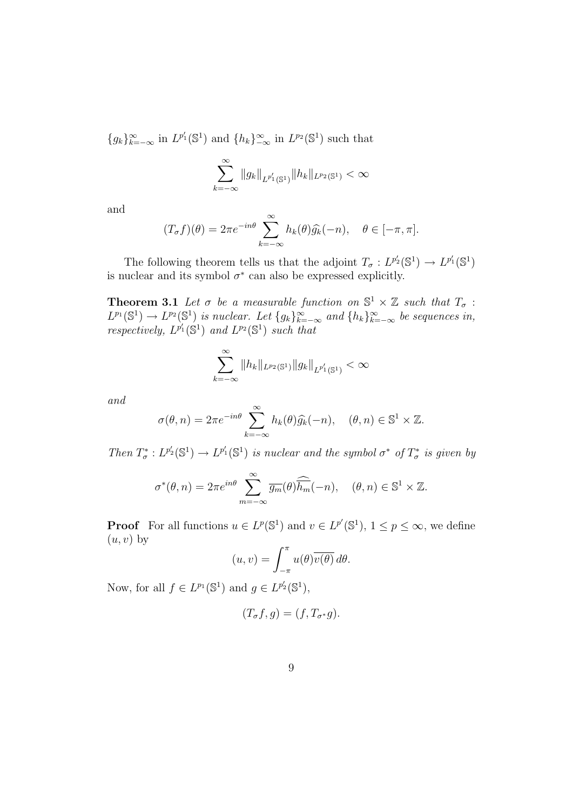${g_k}_{k=-\infty}^{\infty}$  in  $L^{p'_1}(\mathbb{S}^1)$  and  ${h_k}_{-\infty}^{\infty}$  in  $L^{p_2}(\mathbb{S}^1)$  such that

$$
\sum_{k=-\infty}^{\infty} \|g_k\|_{L^{p_1'}(\mathbb{S}^1)} \|h_k\|_{L^{p_2}(\mathbb{S}^1)} < \infty
$$

and

$$
(T_{\sigma}f)(\theta) = 2\pi e^{-in\theta} \sum_{k=-\infty}^{\infty} h_k(\theta) \widehat{g_k}(-n), \quad \theta \in [-\pi, \pi].
$$

The following theorem tells us that the adjoint  $T_{\sigma}: L^{p'_2}(\mathbb{S}^1) \to L^{p'_1}(\mathbb{S}^1)$ is nuclear and its symbol  $\sigma^*$  can also be expressed explicitly.

**Theorem 3.1** Let  $\sigma$  be a measurable function on  $\mathbb{S}^1 \times \mathbb{Z}$  such that  $T_{\sigma}$ :  $L^{p_1}(\mathbb{S}^1) \to L^{p_2}(\mathbb{S}^1)$  is nuclear. Let  $\{g_k\}_{k=-\infty}^{\infty}$  and  $\{h_k\}_{k=-\infty}^{\infty}$  be sequences in, respectively,  $L^{p'_1}(\mathbb{S}^1)$  and  $L^{p_2}(\mathbb{S}^1)$  such that

$$
\sum_{k=-\infty}^{\infty} \|h_k\|_{L^{p_2}(\mathbb{S}^1)} \|g_k\|_{L^{p'_1}(\mathbb{S}^1)} < \infty
$$

and

$$
\sigma(\theta, n) = 2\pi e^{-in\theta} \sum_{k=-\infty}^{\infty} h_k(\theta) \widehat{g_k}(-n), \quad (\theta, n) \in \mathbb{S}^1 \times \mathbb{Z}.
$$

Then  $T^*_{\sigma}: L^{p'_2}(\mathbb{S}^1) \to L^{p'_1}(\mathbb{S}^1)$  is nuclear and the symbol  $\sigma^*$  of  $T^*_{\sigma}$  is given by

$$
\sigma^*(\theta, n) = 2\pi e^{in\theta} \sum_{m=-\infty}^{\infty} \overline{g_m}(\theta) \widehat{\overline{h_m}}(-n), \quad (\theta, n) \in \mathbb{S}^1 \times \mathbb{Z}.
$$

**Proof** For all functions  $u \in L^p(\mathbb{S}^1)$  and  $v \in L^{p'}(\mathbb{S}^1)$ ,  $1 \leq p \leq \infty$ , we define  $(u, v)$  by

$$
(u,v) = \int_{-\pi}^{\pi} u(\theta) \overline{v(\theta)} d\theta.
$$

Now, for all  $f \in L^{p_1}(\mathbb{S}^1)$  and  $g \in L^{p'_2}(\mathbb{S}^1)$ ,

$$
(T_{\sigma}f, g) = (f, T_{\sigma^*}g).
$$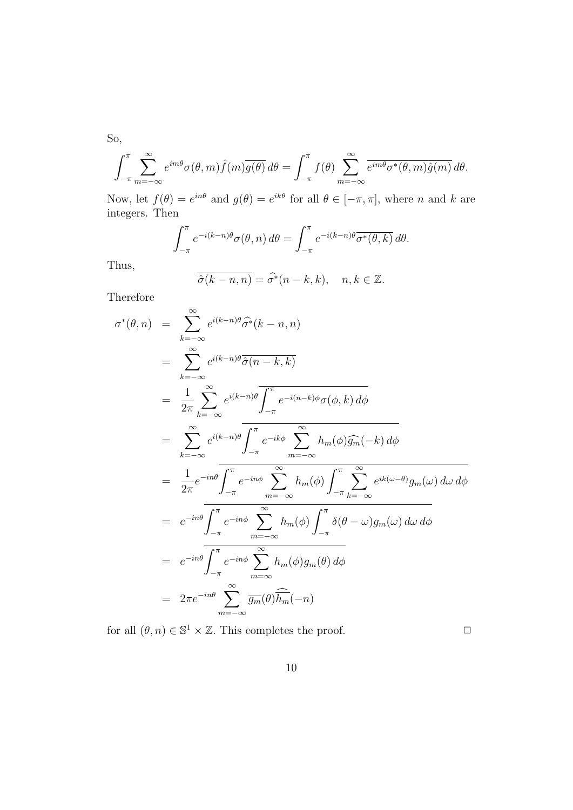So,

$$
\int_{-\pi}^{\pi} \sum_{m=-\infty}^{\infty} e^{im\theta} \sigma(\theta, m) \hat{f}(m) \overline{g(\theta)} d\theta = \int_{-\pi}^{\pi} f(\theta) \sum_{m=-\infty}^{\infty} \overline{e^{im\theta} \sigma^{*}(\theta, m) \hat{g}(m)} d\theta.
$$

Now, let  $f(\theta) = e^{in\theta}$  and  $g(\theta) = e^{ik\theta}$  for all  $\theta \in [-\pi, \pi]$ , where n and k are integers. Then

$$
\int_{-\pi}^{\pi} e^{-i(k-n)\theta} \sigma(\theta, n) d\theta = \int_{-\pi}^{\pi} e^{-i(k-n)\theta} \overline{\sigma^*(\theta, k)} d\theta.
$$

Thus,

$$
\overline{\hat{\sigma}(k-n,n)} = \widehat{\sigma^*}(n-k,k), \quad n, k \in \mathbb{Z}.
$$

Therefore

$$
\sigma^*(\theta, n) = \sum_{k=-\infty}^{\infty} e^{i(k-n)\theta} \widehat{\sigma^*}(k-n, n)
$$
  
\n
$$
= \sum_{k=-\infty}^{\infty} e^{i(k-n)\theta} \overline{\widehat{\sigma}(n-k, k)}
$$
  
\n
$$
= \frac{1}{2\pi} \sum_{k=-\infty}^{\infty} e^{i(k-n)\theta} \overline{\int_{-\pi}^{\pi} e^{-i(n-k)\phi} \sigma(\phi, k) d\phi}
$$
  
\n
$$
= \sum_{k=-\infty}^{\infty} e^{i(k-n)\theta} \overline{\int_{-\pi}^{\pi} e^{-ik\phi} \sum_{m=-\infty}^{\infty} h_m(\phi) \widehat{g_m}(-k) d\phi}
$$
  
\n
$$
= \frac{1}{2\pi} e^{-in\theta} \overline{\int_{-\pi}^{\pi} e^{-in\phi} \sum_{m=-\infty}^{\infty} h_m(\phi) \int_{-\pi}^{\pi} \sum_{k=-\infty}^{\infty} e^{ik(\omega-\theta)} g_m(\omega) d\omega d\phi}
$$
  
\n
$$
= e^{-in\theta} \overline{\int_{-\pi}^{\pi} e^{-in\phi} \sum_{m=-\infty}^{\infty} h_m(\phi) \int_{-\pi}^{\pi} \delta(\theta-\omega) g_m(\omega) d\omega d\phi}
$$
  
\n
$$
= e^{-in\theta} \overline{\int_{-\pi}^{\pi} e^{-in\phi} \sum_{m=-\infty}^{\infty} h_m(\phi) g_m(\theta) d\phi}
$$
  
\n
$$
= 2\pi e^{-in\theta} \sum_{m=-\infty}^{\infty} \overline{g_m}(\theta) \overline{\widehat{h_m}}(-n)
$$

for all  $(\theta, n) \in \mathbb{S}^1 \times \mathbb{Z}$ . This completes the proof.  $\Box$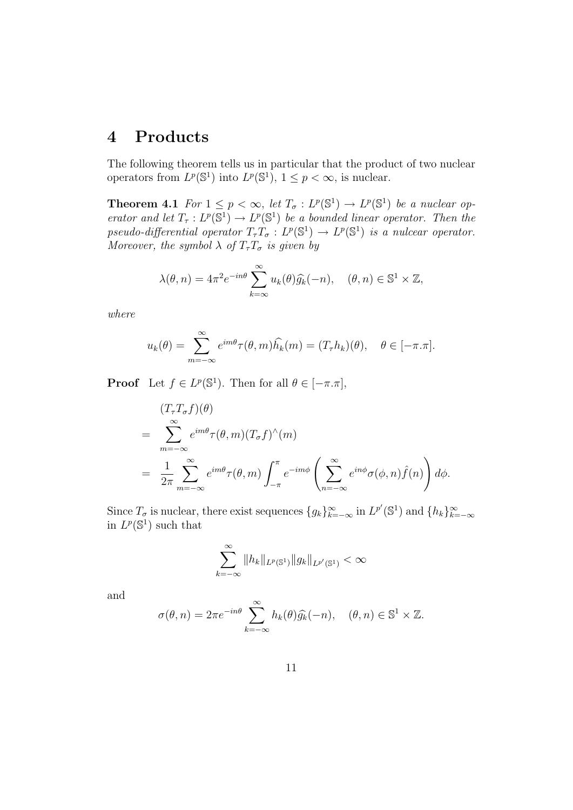## 4 Products

The following theorem tells us in particular that the product of two nuclear operators from  $L^p(\mathbb{S}^1)$  into  $L^p(\mathbb{S}^1)$ ,  $1 \leq p < \infty$ , is nuclear.

**Theorem 4.1** For  $1 \leq p < \infty$ , let  $T_{\sigma}: L^p(\mathbb{S}^1) \to L^p(\mathbb{S}^1)$  be a nuclear operator and let  $T_{\tau}: L^p(\mathbb{S}^1) \to L^p(\mathbb{S}^1)$  be a bounded linear operator. Then the pseudo-differential operator  $T_{\tau}T_{\sigma}: L^p(\mathbb{S}^1) \to L^p(\mathbb{S}^1)$  is a nulcear operator. Moreover, the symbol  $\lambda$  of  $T_{\tau}T_{\sigma}$  is given by

$$
\lambda(\theta, n) = 4\pi^2 e^{-in\theta} \sum_{k=\infty}^{\infty} u_k(\theta) \widehat{g_k}(-n), \quad (\theta, n) \in \mathbb{S}^1 \times \mathbb{Z},
$$

where

$$
u_k(\theta) = \sum_{m=-\infty}^{\infty} e^{im\theta} \tau(\theta, m) \widehat{h_k}(m) = (T_{\tau} h_k)(\theta), \quad \theta \in [-\pi, \pi].
$$

**Proof** Let  $f \in L^p(\mathbb{S}^1)$ . Then for all  $\theta \in [-\pi, \pi]$ ,

$$
(T_{\tau}T_{\sigma}f)(\theta)
$$
  
= 
$$
\sum_{m=-\infty}^{\infty} e^{im\theta} \tau(\theta, m) (T_{\sigma}f)^{\wedge}(m)
$$
  
= 
$$
\frac{1}{2\pi} \sum_{m=-\infty}^{\infty} e^{im\theta} \tau(\theta, m) \int_{-\pi}^{\pi} e^{-im\phi} \left( \sum_{n=-\infty}^{\infty} e^{in\phi} \sigma(\phi, n) \hat{f}(n) \right) d\phi.
$$

Since  $T_{\sigma}$  is nuclear, there exist sequences  $\{g_k\}_{k=-\infty}^{\infty}$  in  $L^{p'}(\mathbb{S}^1)$  and  $\{h_k\}_{k=-\infty}^{\infty}$ in  $L^p(\mathbb{S}^1)$  such that

$$
\sum_{k=-\infty}^{\infty} \|h_k\|_{L^p(\mathbb{S}^1)} \|g_k\|_{L^{p'}(\mathbb{S}^1)} < \infty
$$

and

$$
\sigma(\theta, n) = 2\pi e^{-in\theta} \sum_{k=-\infty}^{\infty} h_k(\theta) \widehat{g_k}(-n), \quad (\theta, n) \in \mathbb{S}^1 \times \mathbb{Z}.
$$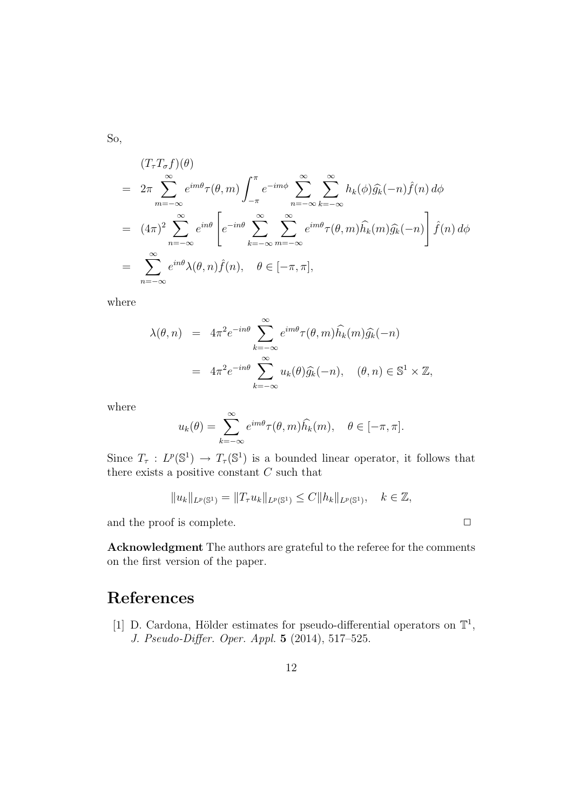So,

$$
(T_{\tau}T_{\sigma}f)(\theta)
$$
  
=  $2\pi \sum_{m=-\infty}^{\infty} e^{im\theta} \tau(\theta, m) \int_{-\pi}^{\pi} e^{-im\phi} \sum_{n=-\infty}^{\infty} \sum_{k=-\infty}^{\infty} h_k(\phi) \widehat{g_k}(-n) \widehat{f}(n) d\phi$   
=  $(4\pi)^2 \sum_{n=-\infty}^{\infty} e^{in\theta} \left[ e^{-in\theta} \sum_{k=-\infty}^{\infty} \sum_{m=-\infty}^{\infty} e^{im\theta} \tau(\theta, m) \widehat{h_k}(m) \widehat{g_k}(-n) \right] \widehat{f}(n) d\phi$   
=  $\sum_{n=-\infty}^{\infty} e^{in\theta} \lambda(\theta, n) \widehat{f}(n), \quad \theta \in [-\pi, \pi],$ 

where

$$
\lambda(\theta, n) = 4\pi^2 e^{-in\theta} \sum_{k=-\infty}^{\infty} e^{im\theta} \tau(\theta, m) \widehat{h}_k(m) \widehat{g}_k(-n)
$$
  
=  $4\pi^2 e^{-in\theta} \sum_{k=-\infty}^{\infty} u_k(\theta) \widehat{g}_k(-n), \quad (\theta, n) \in \mathbb{S}^1 \times \mathbb{Z},$ 

where

$$
u_k(\theta) = \sum_{k=-\infty}^{\infty} e^{im\theta} \tau(\theta, m) \widehat{h_k}(m), \quad \theta \in [-\pi, \pi].
$$

Since  $T_{\tau}: L^p(\mathbb{S}^1) \to T_{\tau}(\mathbb{S}^1)$  is a bounded linear operator, it follows that there exists a positive constant  $C$  such that

$$
||u_k||_{L^p(\mathbb{S}^1)} = ||T_{\tau}u_k||_{L^p(\mathbb{S}^1)} \leq C||h_k||_{L^p(\mathbb{S}^1)}, \quad k \in \mathbb{Z},
$$

and the proof is complete.  $\Box$ 

Acknowledgment The authors are grateful to the referee for the comments on the first version of the paper.

## References

[1] D. Cardona, Hölder estimates for pseudo-differential operators on  $\mathbb{T}^1$ , J. Pseudo-Differ. Oper. Appl. 5 (2014), 517–525.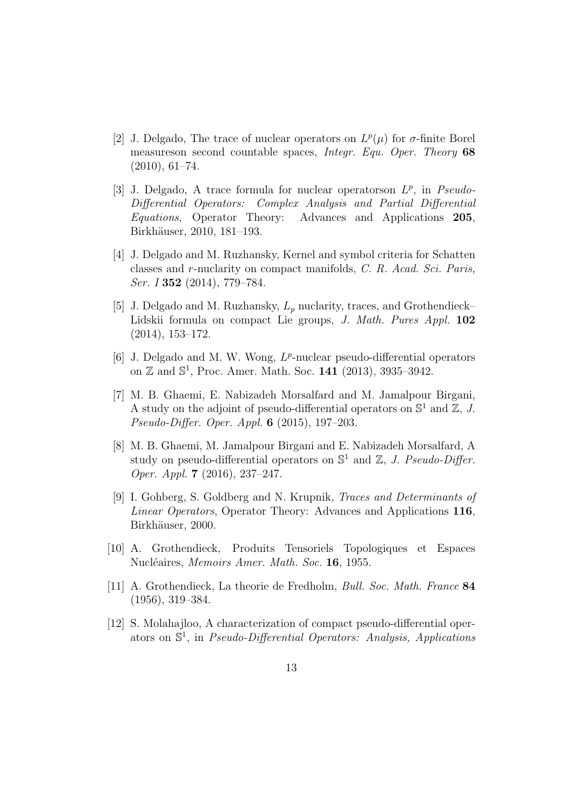- [2] J. Delgado, The trace of nuclear operators on  $L^p(\mu)$  for  $\sigma$ -finite Borel measureson second countable spaces, Integr. Equ. Oper. Theory 68 (2010), 61–74.
- [3] J. Delgado, A trace formula for nuclear operatorson  $L^p$ , in Pseudo-Differential Operators: Complex Analysis and Partial Differential Equations, Operator Theory: Advances and Applications 205, Birkhäuser, 2010, 181-193.
- [4] J. Delgado and M. Ruzhansky, Kernel and symbol criteria for Schatten classes and r-nuclarity on compact manifolds, C. R. Acad. Sci. Paris, Ser. I 352 (2014), 779–784.
- [5] J. Delgado and M. Ruzhansky,  $L_p$  nuclarity, traces, and Grothendieck– Lidskii formula on compact Lie groups, J. Math. Pures Appl. 102 (2014), 153–172.
- [6] J. Delgado and M. W. Wong,  $L^p$ -nuclear pseudo-differential operators on  $\mathbb{Z}$  and  $\mathbb{S}^1$ , Proc. Amer. Math. Soc. 141 (2013), 3935-3942.
- [7] M. B. Ghaemi, E. Nabizadeh Morsalfard and M. Jamalpour Birgani, A study on the adjoint of pseudo-differential operators on  $\mathbb{S}^1$  and  $\mathbb{Z}, J$ . Pseudo-Differ. Oper. Appl. 6 (2015), 197–203.
- [8] M. B. Ghaemi, M. Jamalpour Birgani and E. Nabizadeh Morsalfard, A study on pseudo-differential operators on  $\mathbb{S}^1$  and  $\mathbb{Z}$ , J. Pseudo-Differ. Oper. Appl. 7 (2016), 237–247.
- [9] I. Gohberg, S. Goldberg and N. Krupnik, Traces and Determinants of Linear Operators, Operator Theory: Advances and Applications 116, Birkhäuser, 2000.
- [10] A. Grothendieck, Produits Tensoriels Topologiques et Espaces Nucléaires, Memoirs Amer. Math. Soc. 16, 1955.
- [11] A. Grothendieck, La theorie de Fredholm, Bull. Soc. Math. France 84 (1956), 319–384.
- [12] S. Molahajloo, A characterization of compact pseudo-differential operators on  $\mathbb{S}^1$ , in *Pseudo-Differential Operators: Analysis, Applications*